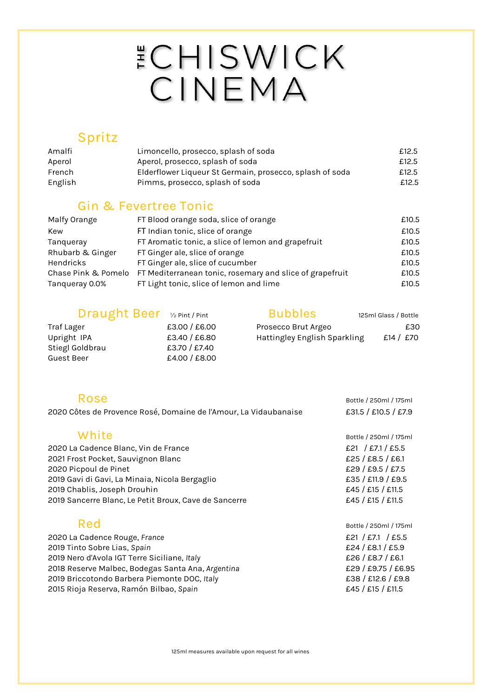# ECHISWICK<br>CINEMA

#### **Spritz**

| Amalfi  | Limoncello, prosecco, splash of soda                     | £12.5 |
|---------|----------------------------------------------------------|-------|
| Aperol  | Aperol, prosecco, splash of soda                         | £12.5 |
| French  | Elderflower Liqueur St Germain, prosecco, splash of soda | £12.5 |
| English | Pimms, prosecco, splash of soda                          | £12.5 |

#### **Gin & Fevertree Tonic**

| Malfy Orange        | FT Blood orange soda, slice of orange                    | £10.5 |
|---------------------|----------------------------------------------------------|-------|
| Kew                 | FT Indian tonic, slice of orange                         | £10.5 |
| Tanqueray           | FT Aromatic tonic, a slice of lemon and grapefruit       | £10.5 |
| Rhubarb & Ginger    | FT Ginger ale, slice of orange                           | £10.5 |
| Hendricks           | FT Ginger ale, slice of cucumber                         | £10.5 |
| Chase Pink & Pomelo | FT Mediterranean tonic, rosemary and slice of grapefruit | £10.5 |
| Tanqueray 0.0%      | FT Light tonic, slice of lemon and lime                  | £10.5 |

| Draught Beer V2 Pint / Pint |               | Bubbles                      | 125ml Glass / Bottle |
|-----------------------------|---------------|------------------------------|----------------------|
| Traf Lager                  | £3.00 / £6.00 | Prosecco Brut Argeo          | £30                  |
| Upright IPA                 | £3.40 / £6.80 | Hattingley English Sparkling | £14 / £70            |
| Stiegl Goldbrau             | £3.70 / £7.40 |                              |                      |
| Guest Beer                  | £4.00 / £8.00 |                              |                      |

| Rose                                                             | Bottle / 250ml / 175ml |
|------------------------------------------------------------------|------------------------|
| 2020 Côtes de Provence Rosé, Domaine de l'Amour, La Vidaubanaise | £31.5 / £10.5 / £7.9   |
|                                                                  |                        |
| White                                                            | Bottle / 250ml / 175ml |
| 2020 La Cadence Blanc, Vin de France                             | £21 / £7.1 / £5.5      |
| 2021 Frost Pocket, Sauvignon Blanc                               | £25 / £8.5 / £6.1      |
| 2020 Picpoul de Pinet                                            | £29 / £9.5 / £7.5      |
| 2019 Gavi di Gavi, La Minaia, Nicola Bergaglio                   | £35 / £11.9 / £9.5     |
| 2019 Chablis, Joseph Drouhin                                     | £45 / £15 / £11.5      |
| 2019 Sancerre Blanc, Le Petit Broux, Cave de Sancerre            | £45 / £15 / £11.5      |
| Red                                                              | Bottle / 250ml / 175ml |
| 2020 La Cadence Rouge, France                                    | £21 / £7.1 / £5.5      |
| 2019 Tinto Sobre Lias, Spain                                     | £24 / £8.1 / £5.9      |
| 2019 Nero d'Avola IGT Terre Siciliane, Italy                     | £26 / £8.7 / £6.1      |
| 2018 Reserve Malbec, Bodegas Santa Ana, Argentina                | £29 / £9.75 / £6.95    |
| 2019 Briccotondo Barbera Piemonte DOC, Italy                     | £38 / £12.6 / £9.8     |
| 2015 Rioja Reserva, Ramón Bilbao, Spain                          | £45 / £15 / £11.5      |